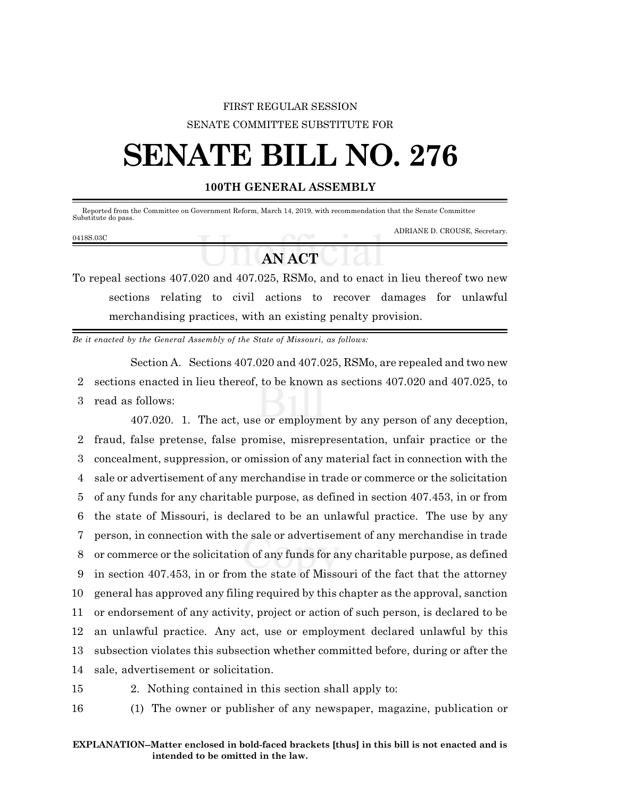## FIRST REGULAR SESSION SENATE COMMITTEE SUBSTITUTE FOR

## **SENATE BILL NO. 276**

## **100TH GENERAL ASSEMBLY**

 Reported from the Committee on Government Reform, March 14, 2019, with recommendation that the Senate Committee Substitute do pass. ADRIANE D. CROUSE, Secretary.

## **AN ACT**

To repeal sections 407.020 and 407.025, RSMo, and to enact in lieu thereof two new sections relating to civil actions to recover damages for unlawful merchandising practices, with an existing penalty provision.

*Be it enacted by the General Assembly of the State of Missouri, as follows:*

Section A. Sections 407.020 and 407.025, RSMo, are repealed and two new 2 sections enacted in lieu thereof, to be known as sections 407.020 and 407.025, to 3 read as follows:

407.020. 1. The act, use or employment by any person of any deception, fraud, false pretense, false promise, misrepresentation, unfair practice or the concealment, suppression, or omission of any material fact in connection with the sale or advertisement of any merchandise in trade or commerce or the solicitation of any funds for any charitable purpose, as defined in section 407.453, in or from the state of Missouri, is declared to be an unlawful practice. The use by any person, in connection with the sale or advertisement of any merchandise in trade or commerce or the solicitation of any funds for any charitable purpose, as defined in section 407.453, in or from the state of Missouri of the fact that the attorney general has approved any filing required by this chapter as the approval, sanction or endorsement of any activity, project or action of such person, is declared to be an unlawful practice. Any act, use or employment declared unlawful by this subsection violates this subsection whether committed before, during or after the sale, advertisement or solicitation.

0418S.03C

15 2. Nothing contained in this section shall apply to:

16 (1) The owner or publisher of any newspaper, magazine, publication or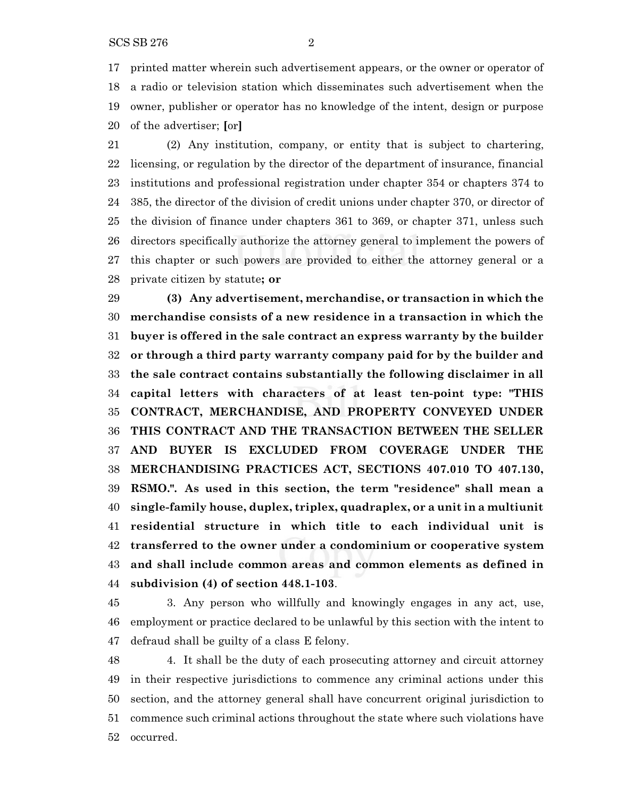printed matter wherein such advertisement appears, or the owner or operator of a radio or television station which disseminates such advertisement when the owner, publisher or operator has no knowledge of the intent, design or purpose of the advertiser; **[**or**]**

 (2) Any institution, company, or entity that is subject to chartering, licensing, or regulation by the director of the department of insurance, financial institutions and professional registration under chapter 354 or chapters 374 to 385, the director of the division of credit unions under chapter 370, or director of the division of finance under chapters 361 to 369, or chapter 371, unless such directors specifically authorize the attorney general to implement the powers of this chapter or such powers are provided to either the attorney general or a private citizen by statute**; or**

 **(3) Any advertisement, merchandise, or transaction in which the merchandise consists of a new residence in a transaction in which the buyer is offered in the sale contract an express warranty by the builder or through a third party warranty company paid for by the builder and the sale contract contains substantially the following disclaimer in all capital letters with characters of at least ten-point type: "THIS CONTRACT, MERCHANDISE, AND PROPERTY CONVEYED UNDER THIS CONTRACT AND THE TRANSACTION BETWEEN THE SELLER AND BUYER IS EXCLUDED FROM COVERAGE UNDER THE MERCHANDISING PRACTICES ACT, SECTIONS 407.010 TO 407.130, RSMO.". As used in this section, the term "residence" shall mean a single-family house, duplex, triplex, quadraplex, or a unit in a multiunit residential structure in which title to each individual unit is transferred to the owner under a condominium or cooperative system and shall include common areas and common elements as defined in subdivision (4) of section 448.1-103**.

 3. Any person who willfully and knowingly engages in any act, use, employment or practice declared to be unlawful by this section with the intent to defraud shall be guilty of a class E felony.

 4. It shall be the duty of each prosecuting attorney and circuit attorney in their respective jurisdictions to commence any criminal actions under this section, and the attorney general shall have concurrent original jurisdiction to commence such criminal actions throughout the state where such violations have occurred.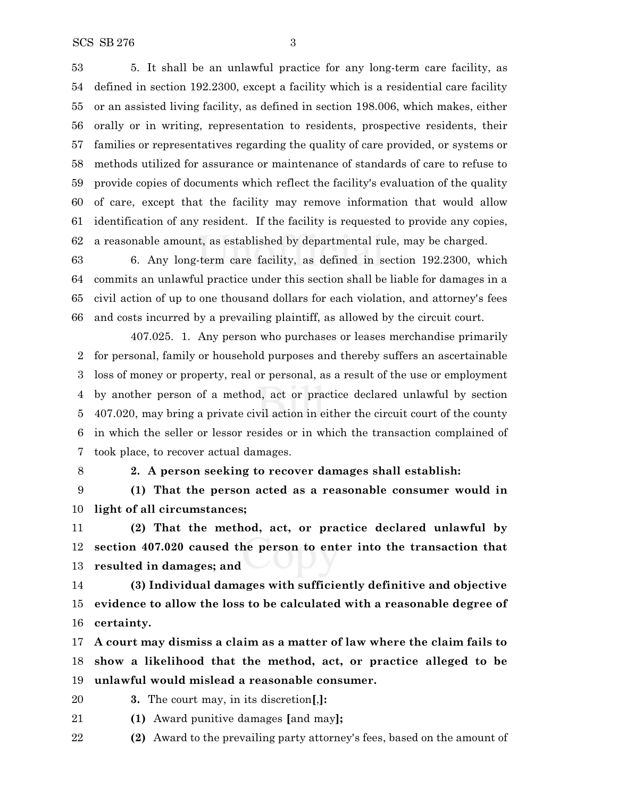5. It shall be an unlawful practice for any long-term care facility, as defined in section 192.2300, except a facility which is a residential care facility or an assisted living facility, as defined in section 198.006, which makes, either orally or in writing, representation to residents, prospective residents, their families or representatives regarding the quality of care provided, or systems or methods utilized for assurance or maintenance of standards of care to refuse to provide copies of documents which reflect the facility's evaluation of the quality of care, except that the facility may remove information that would allow identification of any resident. If the facility is requested to provide any copies, a reasonable amount, as established by departmental rule, may be charged.

 6. Any long-term care facility, as defined in section 192.2300, which commits an unlawful practice under this section shall be liable for damages in a civil action of up to one thousand dollars for each violation, and attorney's fees and costs incurred by a prevailing plaintiff, as allowed by the circuit court.

407.025. 1. Any person who purchases or leases merchandise primarily for personal, family or household purposes and thereby suffers an ascertainable loss of money or property, real or personal, as a result of the use or employment by another person of a method, act or practice declared unlawful by section 407.020, may bring a private civil action in either the circuit court of the county in which the seller or lessor resides or in which the transaction complained of took place, to recover actual damages.

**2. A person seeking to recover damages shall establish:**

 **(1) That the person acted as a reasonable consumer would in light of all circumstances;**

 **(2) That the method, act, or practice declared unlawful by section 407.020 caused the person to enter into the transaction that resulted in damages; and**

 **(3) Individual damages with sufficiently definitive and objective evidence to allow the loss to be calculated with a reasonable degree of certainty.**

 **A court may dismiss a claim as a matter of law where the claim fails to show a likelihood that the method, act, or practice alleged to be unlawful would mislead a reasonable consumer.**

- **3.** The court may, in its discretion**[**,**]:**
- **(1)** Award punitive damages **[**and may**];**
- **(2)** Award to the prevailing party attorney's fees, based on the amount of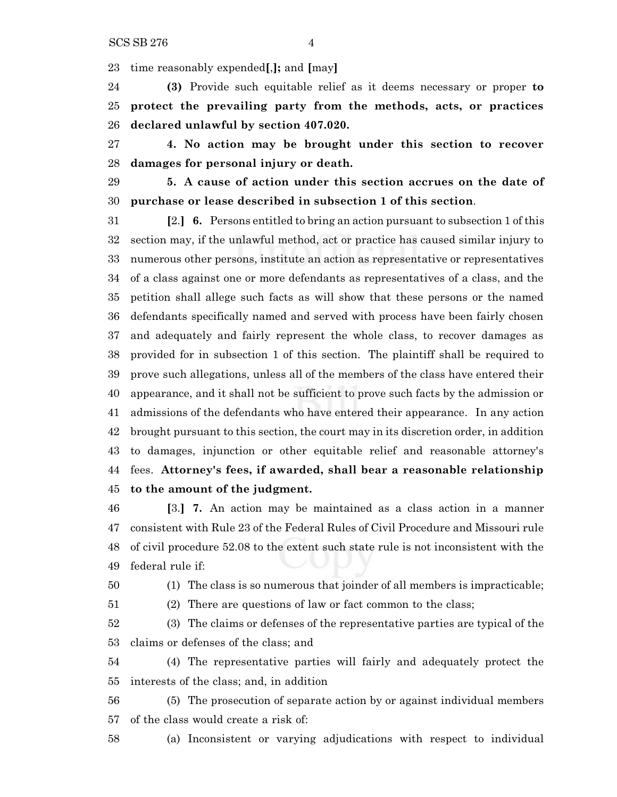time reasonably expended**[**,**];** and **[**may**]**

 **(3)** Provide such equitable relief as it deems necessary or proper **to protect the prevailing party from the methods, acts, or practices declared unlawful by section 407.020.**

 **4. No action may be brought under this section to recover damages for personal injury or death.**

 **5. A cause of action under this section accrues on the date of purchase or lease described in subsection 1 of this section**.

 **[**2.**] 6.** Persons entitled to bring an action pursuant to subsection 1 of this section may, if the unlawful method, act or practice has caused similar injury to numerous other persons, institute an action as representative or representatives of a class against one or more defendants as representatives of a class, and the petition shall allege such facts as will show that these persons or the named defendants specifically named and served with process have been fairly chosen and adequately and fairly represent the whole class, to recover damages as provided for in subsection 1 of this section. The plaintiff shall be required to prove such allegations, unless all of the members of the class have entered their appearance, and it shall not be sufficient to prove such facts by the admission or admissions of the defendants who have entered their appearance. In any action brought pursuant to this section, the court may in its discretion order, in addition to damages, injunction or other equitable relief and reasonable attorney's fees. **Attorney's fees, if awarded, shall bear a reasonable relationship to the amount of the judgment.**

 **[**3.**] 7.** An action may be maintained as a class action in a manner consistent with Rule 23 of the Federal Rules of Civil Procedure and Missouri rule of civil procedure 52.08 to the extent such state rule is not inconsistent with the federal rule if:

(1) The class is so numerous that joinder of all members is impracticable;

(2) There are questions of law or fact common to the class;

 (3) The claims or defenses of the representative parties are typical of the claims or defenses of the class; and

 (4) The representative parties will fairly and adequately protect the interests of the class; and, in addition

 (5) The prosecution of separate action by or against individual members of the class would create a risk of:

(a) Inconsistent or varying adjudications with respect to individual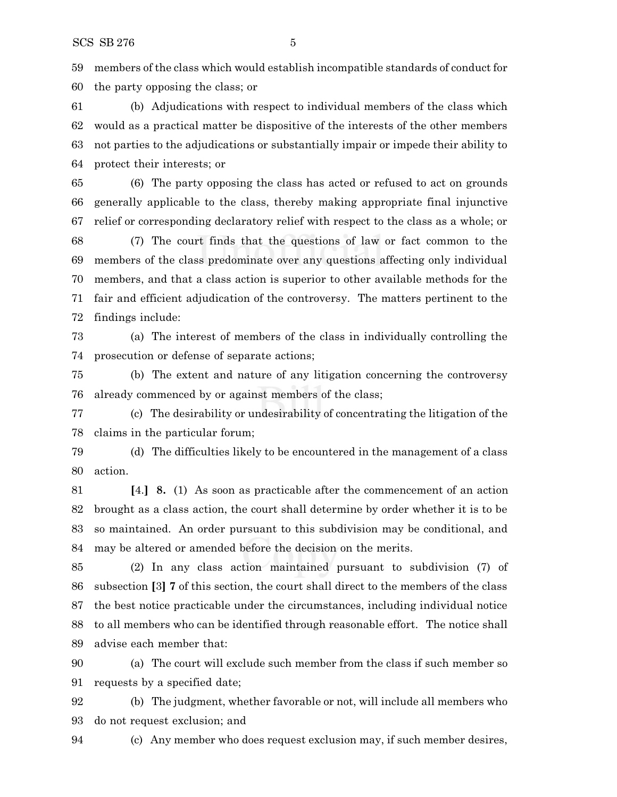members of the class which would establish incompatible standards of conduct for the party opposing the class; or

 (b) Adjudications with respect to individual members of the class which would as a practical matter be dispositive of the interests of the other members not parties to the adjudications or substantially impair or impede their ability to protect their interests; or

 (6) The party opposing the class has acted or refused to act on grounds generally applicable to the class, thereby making appropriate final injunctive relief or corresponding declaratory relief with respect to the class as a whole; or

 (7) The court finds that the questions of law or fact common to the members of the class predominate over any questions affecting only individual members, and that a class action is superior to other available methods for the fair and efficient adjudication of the controversy. The matters pertinent to the findings include:

 (a) The interest of members of the class in individually controlling the prosecution or defense of separate actions;

 (b) The extent and nature of any litigation concerning the controversy already commenced by or against members of the class;

 (c) The desirability or undesirability of concentrating the litigation of the claims in the particular forum;

 (d) The difficulties likely to be encountered in the management of a class action.

 **[**4.**] 8.** (1) As soon as practicable after the commencement of an action brought as a class action, the court shall determine by order whether it is to be so maintained. An order pursuant to this subdivision may be conditional, and may be altered or amended before the decision on the merits.

 (2) In any class action maintained pursuant to subdivision (7) of subsection **[**3**] 7** of this section, the court shall direct to the members of the class the best notice practicable under the circumstances, including individual notice to all members who can be identified through reasonable effort. The notice shall advise each member that:

 (a) The court will exclude such member from the class if such member so requests by a specified date;

 (b) The judgment, whether favorable or not, will include all members who do not request exclusion; and

(c) Any member who does request exclusion may, if such member desires,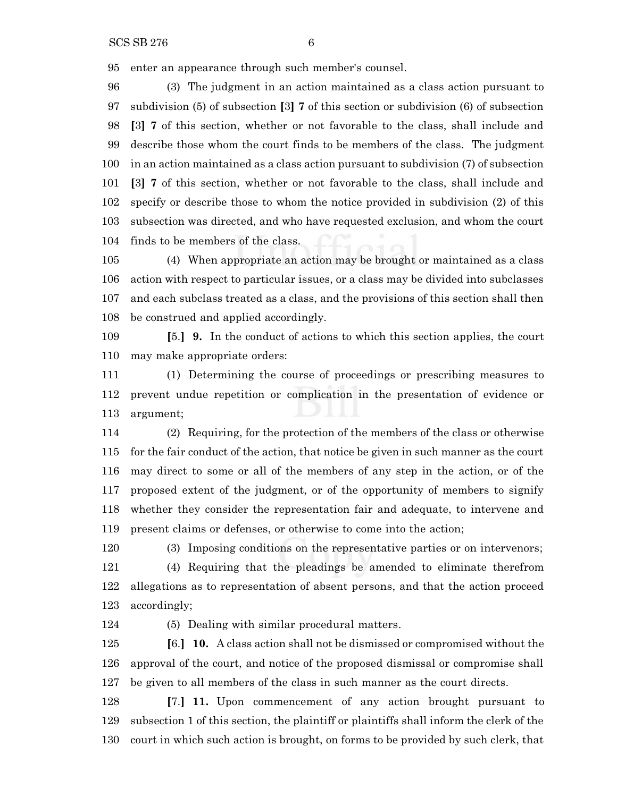enter an appearance through such member's counsel.

 (3) The judgment in an action maintained as a class action pursuant to subdivision (5) of subsection **[**3**] 7** of this section or subdivision (6) of subsection **[**3**] 7** of this section, whether or not favorable to the class, shall include and describe those whom the court finds to be members of the class. The judgment in an action maintained as a class action pursuant to subdivision (7) of subsection **[**3**] 7** of this section, whether or not favorable to the class, shall include and specify or describe those to whom the notice provided in subdivision (2) of this subsection was directed, and who have requested exclusion, and whom the court finds to be members of the class.

 (4) When appropriate an action may be brought or maintained as a class action with respect to particular issues, or a class may be divided into subclasses and each subclass treated as a class, and the provisions of this section shall then be construed and applied accordingly.

 **[**5.**] 9.** In the conduct of actions to which this section applies, the court may make appropriate orders:

 (1) Determining the course of proceedings or prescribing measures to prevent undue repetition or complication in the presentation of evidence or argument;

 (2) Requiring, for the protection of the members of the class or otherwise for the fair conduct of the action, that notice be given in such manner as the court may direct to some or all of the members of any step in the action, or of the proposed extent of the judgment, or of the opportunity of members to signify whether they consider the representation fair and adequate, to intervene and present claims or defenses, or otherwise to come into the action;

 (3) Imposing conditions on the representative parties or on intervenors; (4) Requiring that the pleadings be amended to eliminate therefrom allegations as to representation of absent persons, and that the action proceed accordingly;

(5) Dealing with similar procedural matters.

 **[**6.**] 10.** A class action shall not be dismissed or compromised without the approval of the court, and notice of the proposed dismissal or compromise shall be given to all members of the class in such manner as the court directs.

 **[**7.**] 11.** Upon commencement of any action brought pursuant to subsection 1 of this section, the plaintiff or plaintiffs shall inform the clerk of the court in which such action is brought, on forms to be provided by such clerk, that